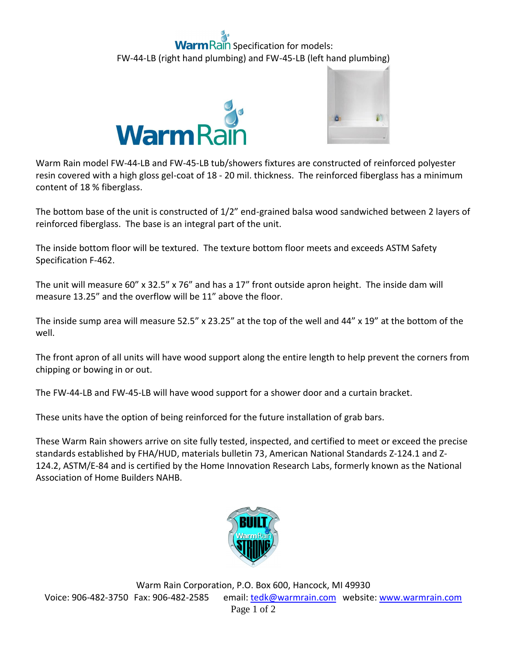## **Rain** Specification for models: FW-44-LB (right hand plumbing) and FW-45-LB (left hand plumbing)





Warm Rain model FW-44-LB and FW-45-LB tub/showers fixtures are constructed of reinforced polyester resin covered with a high gloss gel-coat of 18 - 20 mil. thickness. The reinforced fiberglass has a minimum content of 18 % fiberglass.

The bottom base of the unit is constructed of 1/2" end-grained balsa wood sandwiched between 2 layers of reinforced fiberglass. The base is an integral part of the unit.

The inside bottom floor will be textured. The texture bottom floor meets and exceeds ASTM Safety Specification F-462.

The unit will measure 60" x 32.5" x 76" and has a 17" front outside apron height. The inside dam will measure 13.25" and the overflow will be 11" above the floor.

The inside sump area will measure 52.5" x 23.25" at the top of the well and 44" x 19" at the bottom of the well.

The front apron of all units will have wood support along the entire length to help prevent the corners from chipping or bowing in or out.

The FW-44-LB and FW-45-LB will have wood support for a shower door and a curtain bracket.

These units have the option of being reinforced for the future installation of grab bars.

These Warm Rain showers arrive on site fully tested, inspected, and certified to meet or exceed the precise standards established by FHA/HUD, materials bulletin 73, American National Standards Z-124.1 and Z-124.2, ASTM/E-84 and is certified by the Home Innovation Research Labs, formerly known as the National Association of Home Builders NAHB.